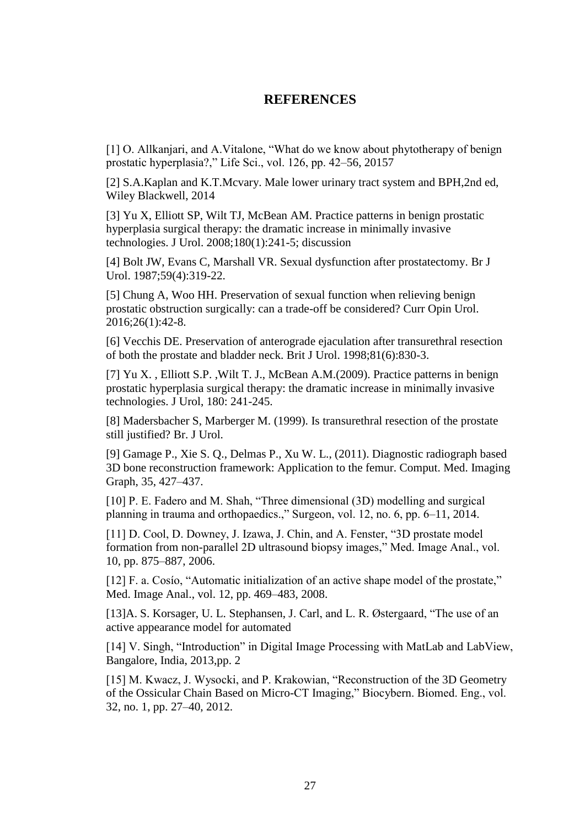# **REFERENCES**

[1] O. Allkanjari, and A.Vitalone, "What do we know about phytotherapy of benign prostatic hyperplasia?," Life Sci., vol. 126, pp. 42–56, 20157

[2] S.A.Kaplan and K.T.Mcvary. Male lower urinary tract system and BPH,2nd ed, Wiley Blackwell, 2014

[3] Yu X, Elliott SP, Wilt TJ, McBean AM. Practice patterns in benign prostatic hyperplasia surgical therapy: the dramatic increase in minimally invasive technologies. J Urol. 2008;180(1):241-5; discussion

[4] Bolt JW, Evans C, Marshall VR. Sexual dysfunction after prostatectomy. Br J Urol. 1987;59(4):319-22.

[5] Chung A, Woo HH. Preservation of sexual function when relieving benign prostatic obstruction surgically: can a trade-off be considered? Curr Opin Urol. 2016;26(1):42-8.

[6] Vecchis DE. Preservation of anterograde ejaculation after transurethral resection of both the prostate and bladder neck. Brit J Urol. 1998;81(6):830-3.

[7] [Yu X. ,](http://www.ncbi.nlm.nih.gov/pubmed/?term=Yu%20X%5BAuthor%5D&cauthor=true&cauthor_uid=18499180) [Elliott S.P.](http://www.ncbi.nlm.nih.gov/pubmed/?term=Elliott%20SP%5BAuthor%5D&cauthor=true&cauthor_uid=18499180) [,Wilt](http://www.ncbi.nlm.nih.gov/pubmed/?term=Wilt%20TJ%5BAuthor%5D&cauthor=true&cauthor_uid=18499180) T. J., McBean A.M.(2009). Practice patterns in benign prostatic hyperplasia surgical therapy: the dramatic increase in minimally invasive technologies. [J Urol, 180: 241-245.](http://www.ncbi.nlm.nih.gov/pubmed/19376534)

[8] Madersbacher S, Marberger M. (1999). Is transurethral resection of the prostate still justified? Br. J Urol.

[9] Gamage P., Xie S. Q., Delmas P., Xu W. L., (2011). Diagnostic radiograph based 3D bone reconstruction framework: Application to the femur. Comput. Med. Imaging Graph, 35, 427–437.

[10] P. E. Fadero and M. Shah, "Three dimensional (3D) modelling and surgical planning in trauma and orthopaedics.," Surgeon, vol. 12, no. 6, pp. 6–11, 2014.

[11] D. Cool, D. Downey, J. Izawa, J. Chin, and A. Fenster, "3D prostate model formation from non-parallel 2D ultrasound biopsy images," Med. Image Anal., vol. 10, pp. 875–887, 2006.

[12] F. a. Cosio, "Automatic initialization of an active shape model of the prostate," Med. Image Anal., vol. 12, pp. 469–483, 2008.

[13]A. S. Korsager, U. L. Stephansen, J. Carl, and L. R. Østergaard, "The use of an active appearance model for automated

[14] V. Singh, "Introduction" in Digital Image Processing with MatLab and LabView, Bangalore, India, 2013,pp. 2

[15] M. Kwacz, J. Wysocki, and P. Krakowian, "Reconstruction of the 3D Geometry of the Ossicular Chain Based on Micro-CT Imaging," Biocybern. Biomed. Eng., vol. 32, no. 1, pp. 27–40, 2012.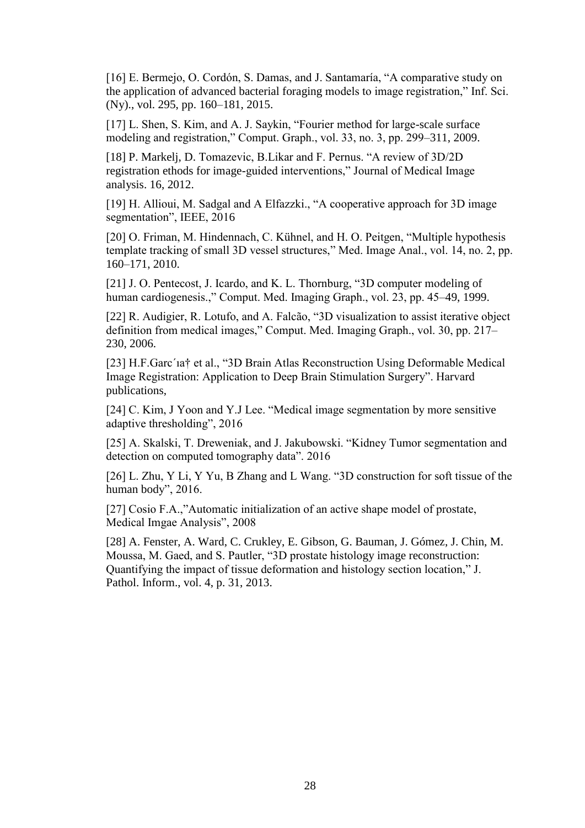[16] E. Bermejo, O. Cordón, S. Damas, and J. Santamaría, "A comparative study on the application of advanced bacterial foraging models to image registration," Inf. Sci. (Ny)., vol. 295, pp. 160–181, 2015.

[17] L. Shen, S. Kim, and A. J. Saykin, "Fourier method for large-scale surface modeling and registration," Comput. Graph., vol. 33, no. 3, pp. 299–311, 2009.

[18] P. Markelj, D. Tomazevic, B.Likar and F. Pernus. "A review of 3D/2D registration ethods for image-guided interventions," Journal of Medical Image analysis. 16, 2012.

[19] H. Allioui, M. Sadgal and A Elfazzki., "A cooperative approach for 3D image segmentation", IEEE, 2016

[20] O. Friman, M. Hindennach, C. Kühnel, and H. O. Peitgen, "Multiple hypothesis" template tracking of small 3D vessel structures," Med. Image Anal., vol. 14, no. 2, pp. 160–171, 2010.

[21] J. O. Pentecost, J. Icardo, and K. L. Thornburg, "3D computer modeling of human cardiogenesis.," Comput. Med. Imaging Graph., vol. 23, pp. 45–49, 1999.

[22] R. Audigier, R. Lotufo, and A. Falcão, "3D visualization to assist iterative object definition from medical images," Comput. Med. Imaging Graph., vol. 30, pp. 217– 230, 2006.

[23] H.F.Garc´ıa† et al., "3D Brain Atlas Reconstruction Using Deformable Medical Image Registration: Application to Deep Brain Stimulation Surgery". Harvard publications,

[24] C. Kim, J Yoon and Y.J Lee. "Medical image segmentation by more sensitive adaptive thresholding", 2016

[25] A. Skalski, T. Dreweniak, and J. Jakubowski. "Kidney Tumor segmentation and detection on computed tomography data". 2016

[26] L. Zhu, Y Li, Y Yu, B Zhang and L Wang. "3D construction for soft tissue of the human body", 2016.

[27] Cosio F.A.,"Automatic initialization of an active shape model of prostate, Medical Imgae Analysis", 2008

[28] A. Fenster, A. Ward, C. Crukley, E. Gibson, G. Bauman, J. Gómez, J. Chin, M. Moussa, M. Gaed, and S. Pautler, "3D prostate histology image reconstruction: Quantifying the impact of tissue deformation and histology section location," J. Pathol. Inform., vol. 4, p. 31, 2013.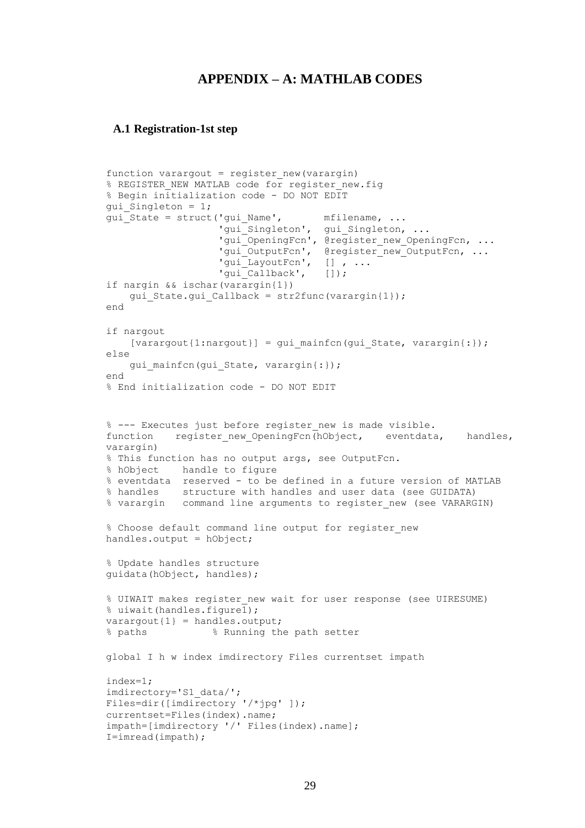# **APPENDIX – A: MATHLAB CODES**

### **A.1 Registration-1st step**

```
function varargout = register new (varargin)
% REGISTER NEW MATLAB code for register new.fig
% Begin initialization code - DO NOT EDIT
qui Singleton = 1;qui State = struct('qui Name', mfilename, ...
                   'gui Singleton', gui Singleton, ...
                   'gui OpeningFcn', @register new OpeningFcn, ...
                   'gui_OutputFcn', @register_new_OutputFcn, ...
                   'gui_LayoutFcn', [] , ...
                   'qui<sup>-</sup>Callback', []);
if nargin && ischar(varargin{1})
   gui State.gui Callback = str2func(varargin{1});
end
if nargout
    [varargout{1:nargout}] = qui mainfon(gui State, varargin{:});
else
    qui mainfcn(qui State, varargin{:});
end
% End initialization code - DO NOT EDIT
% --- Executes just before register new is made visible.
function register new OpeningFcn(hObject, eventdata, handles,
varargin)
% This function has no output args, see OutputFcn.
% hObject handle to figure
% eventdata reserved - to be defined in a future version of MATLAB
% handles structure with handles and user data (see GUIDATA)
% varargin command line arguments to register new (see VARARGIN)
% Choose default command line output for register new
handles.output = hObject;
% Update handles structure
guidata(hObject, handles);
% UIWAIT makes register_new wait for user response (see UIRESUME)
% uiwait(handles.figure1);
varargout{1} = handles.output;
% paths % Running the path setter
global I h w index imdirectory Files currentset impath
index=1;
imdirectory='S1_data/';
Files=dir([imdirectory '/*jpg' ]);
currentset=Files(index).name;
impath=[imdirectory '/' Files(index).name];
I=imread(impath);
```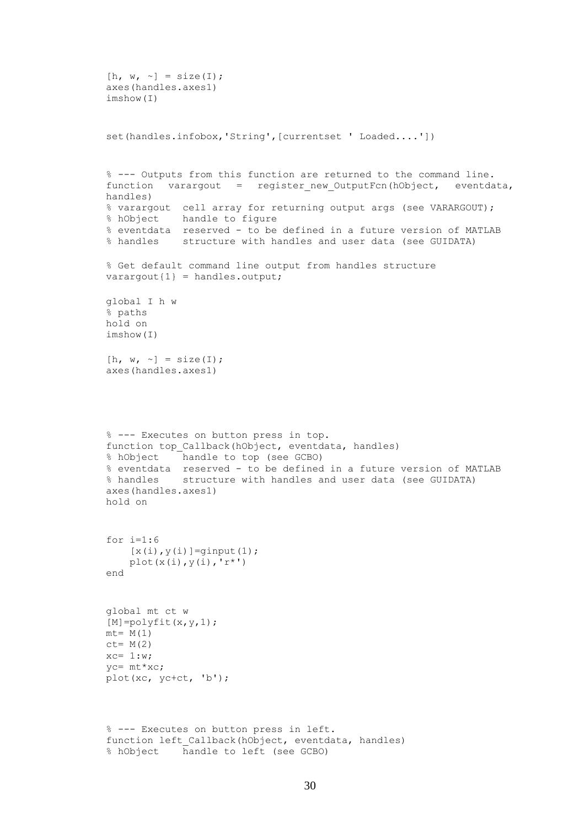```
[h, w, \sim] = size(I);axes(handles.axes1)
imshow(I)
set(handles.infobox,'String', [currentset ' Loaded....'])
% --- Outputs from this function are returned to the command line.
function varargout = register new OutputFcn(hObject, eventdata,
handles) 
% varargout cell array for returning output args (see VARARGOUT);
% hObject handle to figure
% eventdata reserved - to be defined in a future version of MATLAB
% handles structure with handles and user data (see GUIDATA)
% Get default command line output from handles structure
varargout{1} = handles.output;
global I h w
% paths
hold on
imshow(I)
[h, w, \sim] = size(I);
axes(handles.axes1)
% --- Executes on button press in top.
function top_Callback(hObject, eventdata, handles)
% hObject handle to top (see GCBO)
% eventdata reserved - to be defined in a future version of MATLAB
% handles structure with handles and user data (see GUIDATA)
axes(handles.axes1)
hold on
for i=1:6
    [x(i), y(i)] =ginput(1);plot(x(i),y(i),'r^*)end
global mt ct w
[M] = polyfit(x,y,1);mt= M(1)ct= M(2)xc= 1:w;yc= mt*xc;
plot(xc, yc+ct, 'b');
% --- Executes on button press in left.
function left Callback(hObject, eventdata, handles)
% hObject handle to left (see GCBO)
```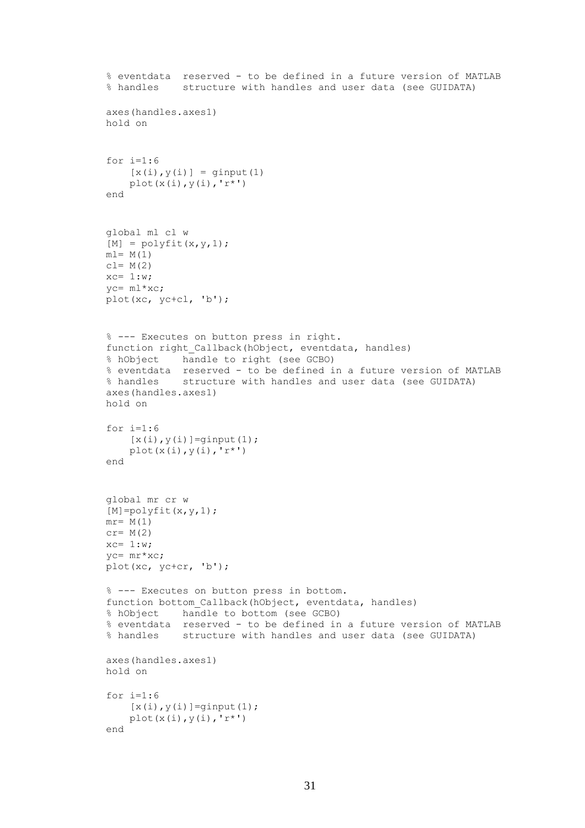```
% eventdata reserved - to be defined in a future version of MATLAB
% handles structure with handles and user data (see GUIDATA)
axes(handles.axes1)
hold on
for i=1:6
    [x(i), y(i)] = ginput (1)
    plot(x(i),y(i),'r^{\star})end
global ml cl w
[M] = polyfit(x,y,1);ml = M(1)c = M(2)xc= 1:w;yc= ml*xc;
plot(xc, yc+cl, 'b');
% --- Executes on button press in right.
function right Callback(hObject, eventdata, handles)
% hObject handle to right (see GCBO)
% eventdata reserved - to be defined in a future version of MATLAB
% handles structure with handles and user data (see GUIDATA)
axes(handles.axes1)
hold on
for i=1:6[x(i), y(i)] =ginput(1);plot(x(i),y(i),'r^{*})end
global mr cr w
[M] = polyfit(x,y,1);mr= M(1)cr= M(2)xc= 1:w;yc= mr*xc;
plot(xc, yc+cr, 'b');
% --- Executes on button press in bottom.
function bottom Callback(hObject, eventdata, handles)
% hObject handle to bottom (see GCBO)
% eventdata reserved - to be defined in a future version of MATLAB
% handles structure with handles and user data (see GUIDATA)
axes(handles.axes1)
hold on
for i=1:6[x(i), y(i)] =ginput(1);
    plot(x(i),y(i),'r^{*})end
```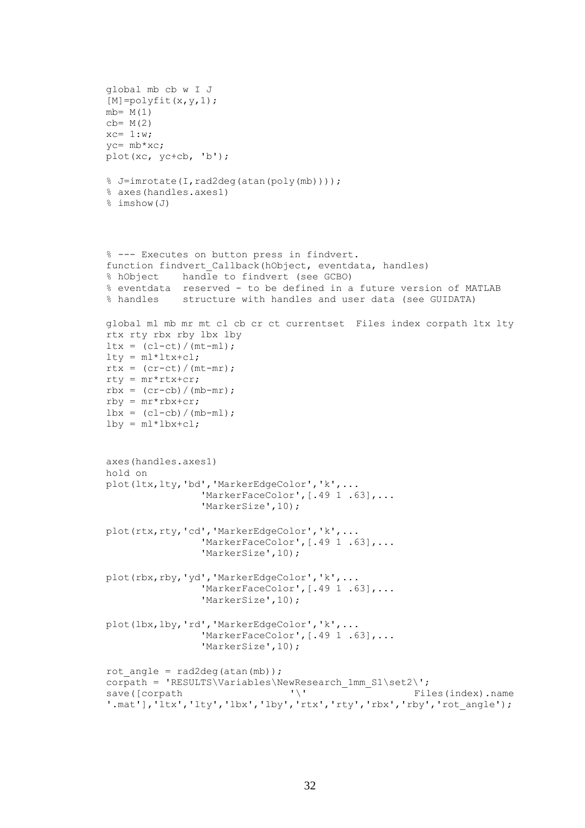```
global mb cb w I J
[M] = polyfit(x,y,1);mb = M(1)cb= M(2)xc= 1:w;yc= mb*xc;
plot(xc, yc+cb, 'b');
% J=imrotate(I,rad2deg(atan(poly(mb))));
% axes(handles.axes1)
% imshow(J)
% --- Executes on button press in findvert.
function findvert Callback(hObject, eventdata, handles)
% hObject handle to findvert (see GCBO)
% eventdata reserved - to be defined in a future version of MATLAB
% handles structure with handles and user data (see GUIDATA)
global ml mb mr mt cl cb cr ct currentset Files index corpath ltx lty 
rtx rty rbx rby lbx lby
ltx = (cl-ct)/(mt-ml);lty = ml*ltx+cl;rtx = (cr-ct)/(mt-mr);rty = mr*rtx+cr;
rbx = (cr-cb) / (mb-mr);
rby = mr*rbx+cr;\frac{\text{lbx}}{\text{lbx}} = \frac{\text{cl-cb}}{\text{mb-ml}};
\text{lby} = \text{ml*lbx+cl};axes(handles.axes1)
hold on
plot(ltx,lty,'bd','MarkerEdgeColor','k',...
                 'MarkerFaceColor', [.49 1 .63], ...
                  'MarkerSize',10);
plot(rtx,rty,'cd','MarkerEdgeColor','k',...
                 'MarkerFaceColor', [.49 1 .63], ...
                  'MarkerSize',10);
plot(rbx,rby,'yd','MarkerEdgeColor','k',...
                 'MarkerFaceColor', [.49 1 .63],...
                  'MarkerSize',10);
plot(lbx,lby,'rd','MarkerEdgeColor','k',...
                 'MarkerFaceColor', [.49 1 .63],...
                  'MarkerSize',10);
rot angle = rad2deg(atan(mb));
corpath = 'RESULTS\Variables\NewResearch 1mm S1\set2\';
save([corpath \vee' Files(index).name
'.mat'],'ltx','lty','lbx','lby','rtx','rty','rbx','rby','rot_angle');
```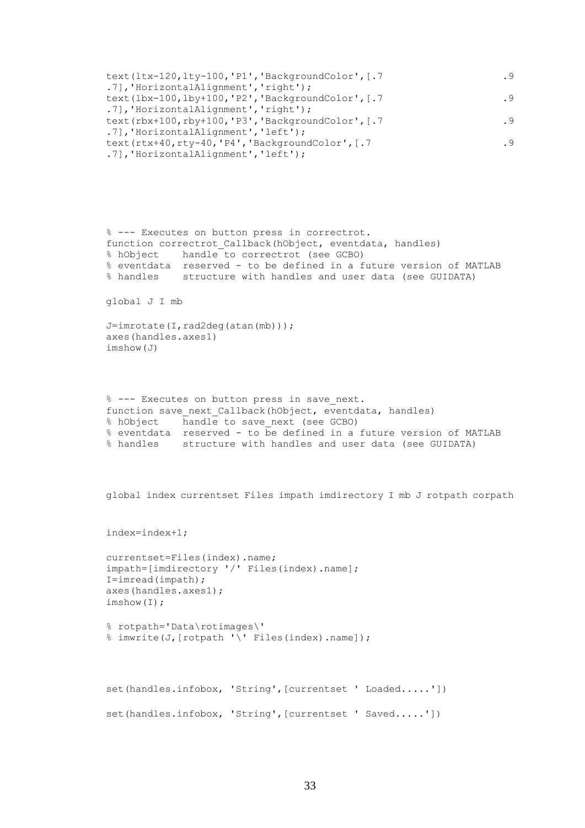```
text(ltx-120,lty-100,'P1','BackgroundColor', [.7 .9 .9
.7],'HorizontalAlignment','right');
text(lbx-100,lby+100,'P2','BackgroundColor', [.7 .9 .9
.7],'HorizontalAlignment','right');
text(rbx+100,rby+100,'P3','BackgroundColor', [.7 .9 .9
.7],'HorizontalAlignment','left');
text(rtx+40,rty-40,'P4','BackgroundColor', [.7 .9 .9
.7],'HorizontalAlignment','left');
```

```
% --- Executes on button press in correctrot.
function correctrot Callback(hObject, eventdata, handles)
% hObject handle to correctrot (see GCBO)
% eventdata reserved - to be defined in a future version of MATLAB
% handles structure with handles and user data (see GUIDATA)
```
global J I mb

```
J=imrotate(I,rad2deg(atan(mb)));
axes(handles.axes1)
imshow(J)
```

```
% --- Executes on button press in save next.
function save next Callback(hObject, eventdata, handles)
% hObject handle to save_next (see GCBO)
% eventdata reserved - to be defined in a future version of MATLAB
% handles structure with handles and user data (see GUIDATA)
```

```
global index currentset Files impath imdirectory I mb J rotpath corpath
```
index=index+1;

```
currentset=Files(index).name;
impath=[imdirectory '/' Files(index).name];
I=imread(impath);
axes(handles.axes1);
imshow(I);
```

```
% rotpath='Data\rotimages\'
% imwrite(J, [rotpath '\' Files(index).name]);
```

```
set(handles.infobox, 'String',[currentset ' Loaded.....'])
set(handles.infobox, 'String', [currentset ' Saved.....'])
```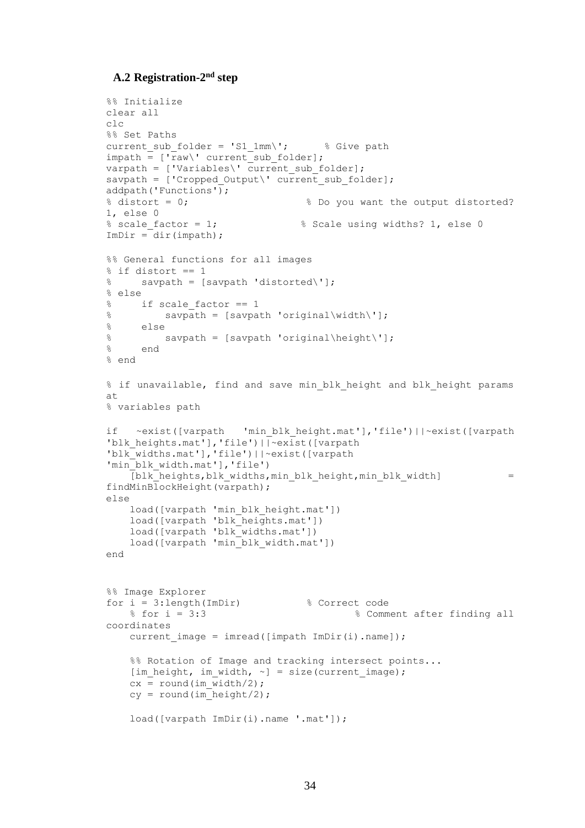# A.2 Registration-2<sup>nd</sup> step

```
%% Initialize
clear all
clc
%% Set Paths
current sub folder = 'S1 1mm\'; % Give path
\overline{\text{impath}} = [\overline{\text{raw}} \cdot \text{current} \cdot \overline{\text{sub}} \cdot \text{folder}];varpath = \lceil'Variables\' current sub folder];
savpath = ['Cropped Output\\' current sub folder];addpath('Functions');
% distort = 0; % 8 Do you want the output distorted?
1, else 0
% scale factor = 1; % Scale using widths? 1, else 0
ImDir = dir(impath;%% General functions for all images
s if distort == 1
% savpath = [savpath 'distorted\'];
% else
% if scale factor == 1
% savpath = [savpath 'original\width\'];
% else
% savpath = [savpath 'original\height\'];
% end
% end
% if unavailable, find and save min blk height and blk height params
a<sup>+</sup>
% variables path
if ~exist([varpath 'min_blk_height.mat'],'file')||~exist([varpath 
'blk heights.mat'], 'file') | | ~exist([varpath
'blk_widths.mat'],'file')||~exist([varpath 
'min_blk width.mat'], 'file')
    [blk] heights,blk widths,min_blk_height,min_blk_width] =
findMinBlockHeight(varpath);
else
   load([varpath 'min blk height.mat'])
     load([varpath 'blk_heights.mat'])
     load([varpath 'blk_widths.mat'])
     load([varpath 'min_blk_width.mat'])
end
%% Image Explorer
for i = 3:length(ImDir) % Correct code
     % for i = 3:3 % Comment after finding all 
coordinates
    current image = imread([impath ImDir(i) .name]);
    %% Rotation of Image and tracking intersect points...
    [im height, im width, \sim] = size(current image);
    cx = round(imwidth/2;cy = round(im\newline height/2); load([varpath ImDir(i).name '.mat']);
```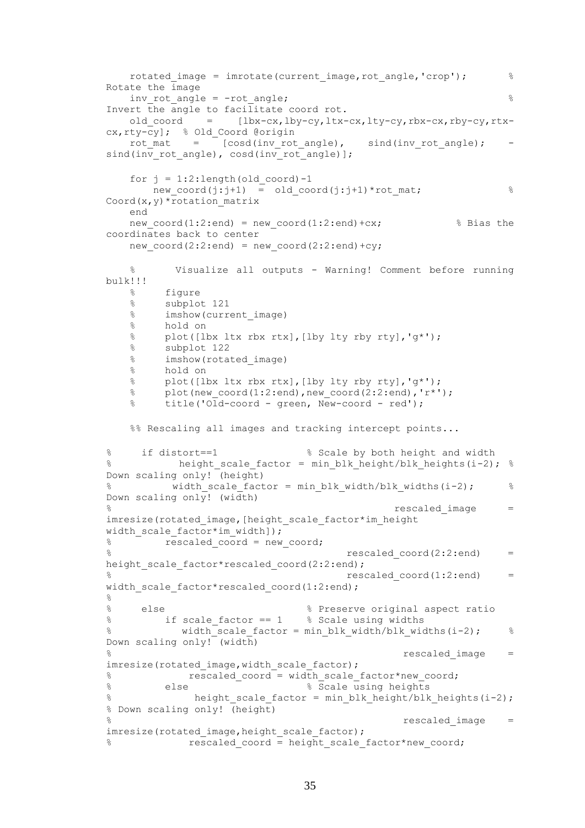```
rotated image = imrotate(current image,rot angle,'crop'); \frac{8}{3}Rotate the image
   inv rot angle = -rot angle; \frac{1}{8}Invert the angle to facilitate coord rot.
   old coord = [lbx-cx,lby-cy,ltx-cx,lty-cy,rbx-cx,rby-cy,rtx-
cx, rty-cy]; % Old Coord @origin
rot mat = [cosd(inv rot angle), sind(inv rot angle); -
sind(inv_rot_angle), cosd(inv_rot_angle)];
   for j = 1:2: length (old coord) -1
     new coord(j:j+1) = old coord(j:j+1)*rot mat; \frac{1}{8}Coord(x, y)*rotation matrix
    end
   new coord(1:2:end) = new coord(1:2:end)+cx; \frac{1}{2} & Bias the
coordinates back to center
   new coord(2:2:end) = new coord(2:2:end)+cy;
    % Visualize all outputs - Warning! Comment before running 
bulk!!!
    % figure
    % subplot 121
    % imshow(current_image)
    % hold on
    % plot([lbx ltx rbx rtx],[lby lty rby rty],'g*');
    % subplot 122
    % imshow(rotated_image)
    % hold on
    % plot([lbx ltx rbx rtx],[lby lty rby rty],'g*');
   % plot(new coord(1:2:end),new coord(2:2:end),'r*');
   % title('Old-coord - green, New-coord - red');
   %% Rescaling all images and tracking intercept points...
% if distort==1 % Scale by both height and width
% height scale factor = min blk height/blk heights(i-2); %
Down scaling only! (height)
% width_scale_factor = min_blk_width/blk_widths(i-2); % 
Down scaling only! (width)
\frac{1}{3} rescaled image =imresize(rotated_image,[height_scale_factor*im_height 
width scale factor*im width]);
\frac{1}{6} \frac{1}{100} rescaled coord = new coord;
\frac{1}{8} rescaled coord(2:2:end) =
height scale factor*rescaled coord(2:2:end);
                                  rescaledcoord(1:2:end) =
width scale factor*rescaled coord(1:2:end);
\approx% else % Preserve original aspect ratio
% if scale_factor == 1 % Scale using widths
% width scale factor = min blk width/blk widths(i-2); %Down scaling only! (width) 
\frac{8}{3} rescaled image =imresize(rotated_image,width_scale_factor);
% rescaled coord = width scale factor*new coord;
% else % Scale using heights
% height scale factor = min blk height/blk heights(i-2);
% Down scaling only! (height)
% rescaled image \simimresize(rotated_image,height_scale_factor);
            rescaled coord = height scale factor*new coord;
```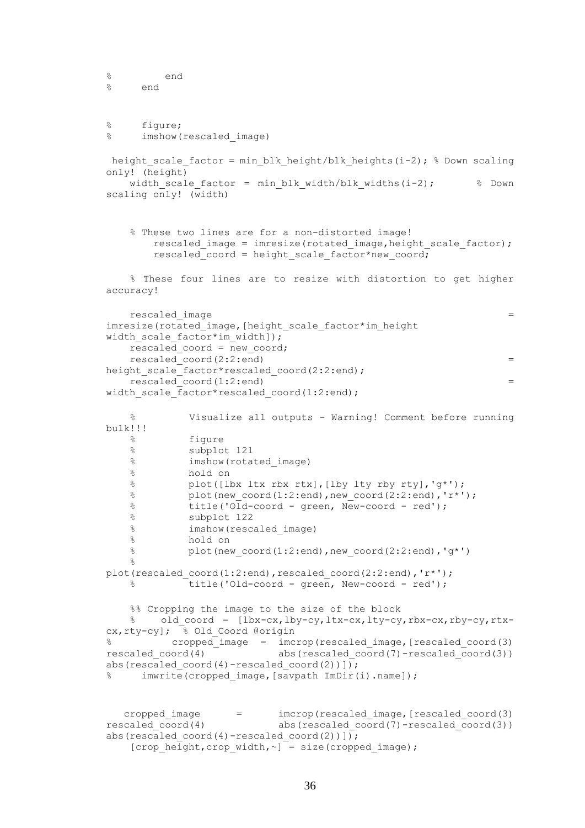```
% end
% end
% figure;
% imshow(rescaled_image)
height scale factor = min blk height/blk heights(i-2); % Down scaling
only! (height)
   width scale factor = min blk width/blk widths(i-2); \frac{8}{2} Down
scaling only! (width)
    % These two lines are for a non-distorted image!
       rescaled image = imresize(rotated image, height scale factor);
       rescaled coord = height scale factor*new coord;
    % These four lines are to resize with distortion to get higher 
accuracy!
   rescaled image =imresize(rotated_image,[height_scale_factor*im_height 
width scale factor*im width]);
    rescaled_coord = new_coord;
   rescaled\ (2:2:end) =
height scale factor*rescaled coord(2:2:end);
   rescaled\ coord(1:2:end) =
width scale factor*rescaled coord(1:2:end);
    % Visualize all outputs - Warning! Comment before running 
bulk!!!
    % figure
    % subplot 121
    % imshow(rotated_image)
    % hold on
    % plot([lbx ltx rbx rtx],[lby lty rby rty],'g*');
   \frac{1}{2} plot(new coord(1:2:end),new coord(2:2:end),'r*');
   % title('Old-coord - green, New-coord - red');
    % subplot 122
    % imshow(rescaled_image)
    % hold on
   \frac{1}{2} plot(new coord(1:2:end),new coord(2:2:end),'g*')
   \approxplot(rescaled_coord(1:2:end),rescaled_coord(2:2:end),'r*');
   % title('Old-coord - green, New-coord - red');
    %% Cropping the image to the size of the block
   % old coord = [lbx-cx, lby-cy, ltx-cx, lty-cy, rbx-cx, rby-cy, rtx-
cx, rty-cy; \frac{1}{6} Old Coord @origin
% cropped_image = imcrop(rescaled_image,[rescaled_coord(3) 
rescaled coord(4) abs(rescaled coord(7)-rescaled coord(3))
abs(rescaled coord(4)-rescaled coord(2))]);
% imwrite(cropped image, [savpath ImDir(i).name]);
   cropped_image = imcrop(rescaled_image,[rescaled_coord(3) 
rescaled coord(4) abs(rescaled coord(7)-rescaled coord(3))
abs(rescaled coord(4)-rescaled coord(2))]);
   [crop height, crop width, \sim] = size(cropped image);
```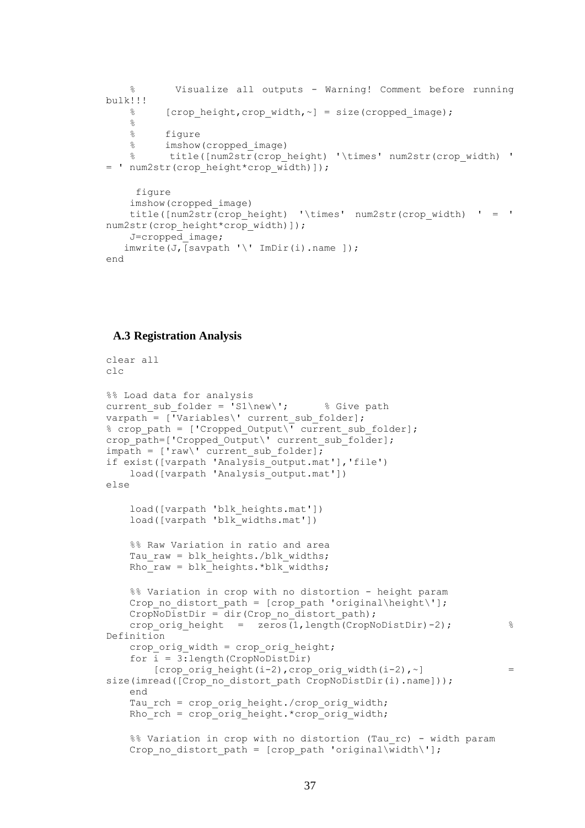```
 % Visualize all outputs - Warning! Comment before running 
bulk!!!
   % [crop height,crop width, ~] = size(cropped image);
    %
        figure
     % imshow(cropped_image)
    % title([num2str(crop_height) '\times' num2str(crop_width) ' 
= ' num2str(crop height*crop width)]);
     figure
     imshow(cropped_image)
    title([num2str(crop_height) '\times' num2str(crop_width) ' = ' 
num2str(crop_height*crop_width)]);
     J=cropped_image;
   imwrite(J, [savpath '\' ImDir(i).name ]);
end
```
#### **A.3 Registration Analysis**

```
clear all
clc
%% Load data for analysis
current sub folder = \sinh 'S1\new\'; % Give path
varpath = \overline{[} Variables\' current sub folder];
% crop path = ['Cropped Output\\overline{ } current sub folder];
crop_path=['Cropped_Output\' current_sub_folder];
impath = ['raw' current sub folder];if exist([varpath 'Analysis_output.mat'],'file')
     load([varpath 'Analysis_output.mat'])
else
     load([varpath 'blk_heights.mat'])
     load([varpath 'blk_widths.mat'])
     %% Raw Variation in ratio and area
    Tau raw = blk heights./blk widths;
    Rho\bar{x}raw = blk\bar{h}heights.*blk\bar{w}widths;
    %% Variation in crop with no distortion - height param
    Crop no distort path = [crop path 'original\height\'];
    CropNoDistDir = dir(Crop no distort path);
    crop_orig_height = zeros(1,length(CropNoDistDir)-2); \frac{8}{3}Definition
    crop orig width = crop orig height;
     for i = 3:length(CropNoDistDir)
        [crop_orig_height(i-2),crop_orig_width(i-2),\sim] =
size(imread([Crop_no_distort_path CropNoDistDir(i).name]));
     end
    Tau rch = crop orig height./crop orig width;
     Rho_rch = crop_orig_height.*crop_orig_width;
     %% Variation in crop with no distortion (Tau_rc) - width param
    Crop no distort path = [crop path 'original\width\'];
```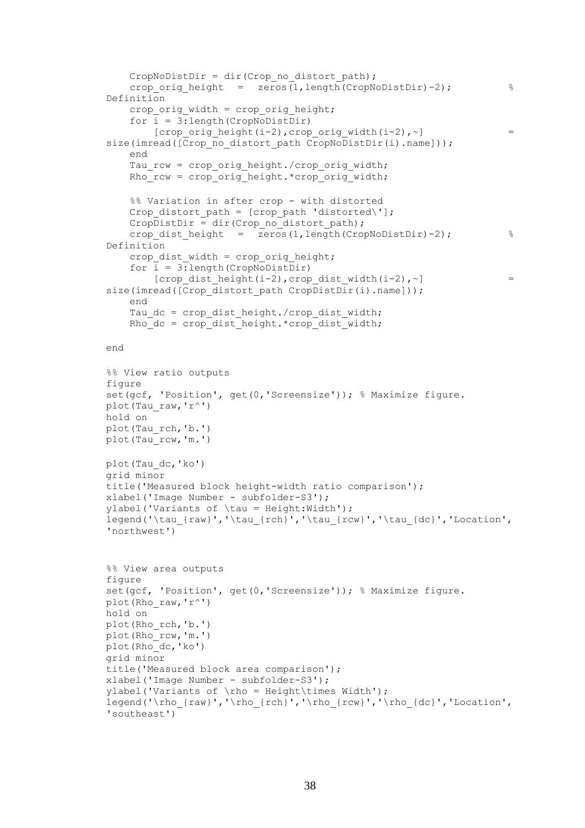```
CropNoDistDir = dir(Crop_no_distort_path);
    crop orig height = zeros(1,length(CoropNoDistDir)-2); %
Definition
    crop orig width = crop orig height;
     for i = 3:length(CropNoDistDir)
        [crop_orig_height(i-2),crop_orig_width(i-2),~] = =size(imread([Crop_no_distort_path CropNoDistDir(i).name]));
     end
    Tau rcw = crop orig height./crop orig width;
    RhoTcw = crop_0 orig height.*crop_orig_width;
     %% Variation in after crop - with distorted
    Crop distort path = [crop path 'distorted\'];
    CropDistDir = dir(Crop_no_distort_path);
    crop dist height = \overline{z}eros(1,length(CropNoDistDir)-2); %
Definition
    crop dist width = crop orig height;
    for \overline{i} = 3: length(CropNoDistDir)
        [crop dist height(i-2), crop dist width(i-2), ~] = =size(imread([Crop_distort_path CropDistDir(i).name]));
     end
    Tau dc = crop dist height./crop dist width;
    Rhodc = crop dist height.*crop_dist width;
end
%% View ratio outputs
figure
set(gcf, 'Position', get(0, 'Screensize')); % Maximize figure.
plot(Tau raw, 'r^')
hold on
plot(Tau_rch,'b.')
plot(Tau_rcw,'m.')
plot(Tau_dc,'ko')
grid minor
title('Measured block height-width ratio comparison');
xlabel('Image Number - subfolder-S3');
ylabel('Variants of \tau = Height:Width');
legend('\tau {raw}','\tau {rch}','\tau {rcw}','\tau {dc}','Location',
'northwest')
%% View area outputs
figure
set(gcf, 'Position', get(0, 'Screensize')); % Maximize figure.
plot(Rho_raw,'r^')
hold on
plot(Rho_rch,'b.')
plot(Rho_rcw,'m.')
plot(Rho_dc,'ko')
grid minor
title('Measured block area comparison');
xlabel('Image Number - subfolder-S3');
ylabel('Variants of \rho = Height\times Width');
legend('\rho {raw}','\rho {rch}','\rho {rcw}','\rho {dc}','Location',
'southeast')
```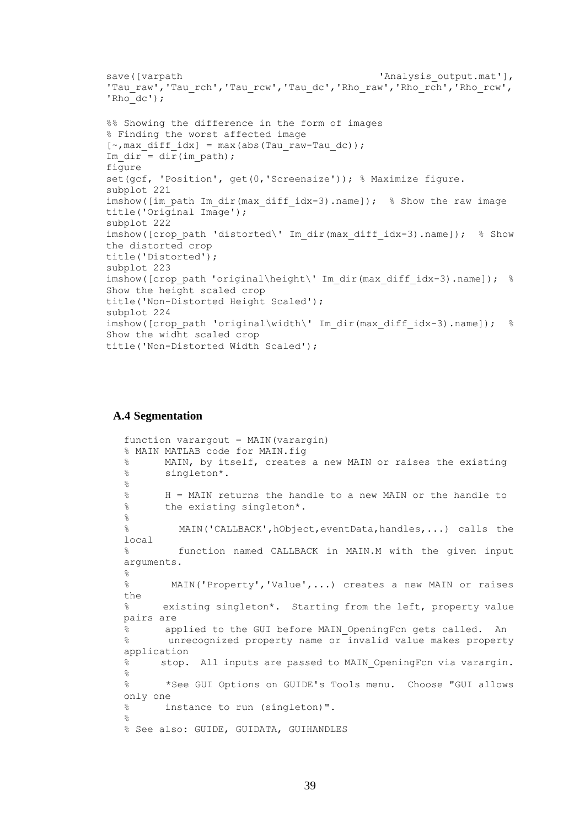```
save([varpath 'Analysis output.mat'],
'Tau_raw','Tau_rch','Tau_rcw','Tau_dc','Rho_raw','Rho_rch','Rho_rcw',
'Rho dc');
%% Showing the difference in the form of images
% Finding the worst affected image
[\sim, \text{max diff idx}] = \text{max(abs(Tau raw-Tau dc));}Im dir = dir(im path);
figure
set(gcf, 'Position', get(0, 'Screensize')); % Maximize figure.
subplot 221
imshow(\lceil \text{im path Im dir(max diff idx-3)} \rceil.name]); % Show the raw image
title('Original Image');
subplot 222
imshow([crop path 'distorted\' Im dir(max diff idx-3).name]); % Show
the distorted crop
title('Distorted');
subplot 223
imshow([crop_path 'original\height\' Im dir(max_diff_idx-3).name]); %
Show the height scaled crop
title('Non-Distorted Height Scaled');
subplot 224
imshow([crop_path 'original\width\' Im_dir(max_diff_idx-3).name]); %
Show the widht scaled crop
title('Non-Distorted Width Scaled');
```
### **A.4 Segmentation**

```
function varargout = MAIN(varargin)% MAIN MATLAB code for MAIN.fig
% MAIN, by itself, creates a new MAIN or raises the existing
% singleton*.
\approx% H = MAIN returns the handle to a new MAIN or the handle to
% the existing singleton*.
\approx% MAIN('CALLBACK',hObject,eventData,handles,...) calls the 
local
% function named CALLBACK in MAIN.M with the given input 
arguments.
\approx% MAIN('Property','Value',...) creates a new MAIN or raises 
the
% existing singleton*. Starting from the left, property value 
pairs are
      applied to the GUI before MAIN OpeningFcn gets called. An
% unrecognized property name or invalid value makes property 
application
% stop. All inputs are passed to MAIN_OpeningFcn via varargin.
%
% *See GUI Options on GUIDE's Tools menu. Choose "GUI allows 
only one
% instance to run (singleton)".
%
% See also: GUIDE, GUIDATA, GUIHANDLES
```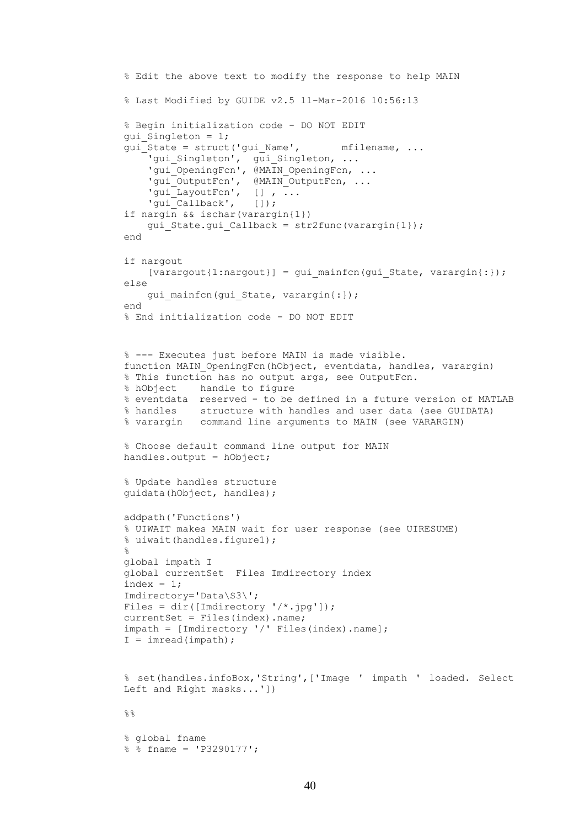```
% Edit the above text to modify the response to help MAIN
% Last Modified by GUIDE v2.5 11-Mar-2016 10:56:13
% Begin initialization code - DO NOT EDIT
gui_Singleton = 1;
qui\bar{\text{state}} = struct('qui Name', \bar{\text{m}} mfilename, ...
'gui Singleton', gui Singleton, ...
'gui OpeningFcn', @MAIN OpeningFcn, ...
    'gui<sup>outputFcn', @MAIN OutputFcn, ...</sup>
    'gui_LayoutFcn', [], ...
    'gui<sup>-</sup>Callback', []);
if nargin && ischar(varargin{1})
     gui_State.gui_Callback = str2func(varargin{1});
end
if nargout
    [varargout{1:nargout}] = qui mainfon(gui State, varargin{:});
else
    gui mainfcn(gui State, varargin{:});
end
% End initialization code - DO NOT EDIT
% --- Executes just before MAIN is made visible.
function MAIN OpeningFcn(hObject, eventdata, handles, varargin)
% This function has no output args, see OutputFcn.
% hObject handle to figure
% eventdata reserved - to be defined in a future version of MATLAB
% handles structure with handles and user data (see GUIDATA)
% varargin command line arguments to MAIN (see VARARGIN)
% Choose default command line output for MAIN
handles.output = hObject;
% Update handles structure
guidata(hObject, handles);
addpath('Functions')
% UIWAIT makes MAIN wait for user response (see UIRESUME)
% uiwait(handles.figure1);
% 
global impath I
global currentSet Files Imdirectory index
index = 1;
Imdirectory='Data\S3\';
Files = dir([Imdirectory '/*.jpg']);
currentSet = Files(index).name;
impath = [Imdirectory '/' Files(index).name];
I = \text{imread}(\text{impath});
% set(handles.infoBox,'String',['Image ' impath ' loaded. Select 
Left and Right masks...'])
%% global fname
% % fname = 'P3290177';
```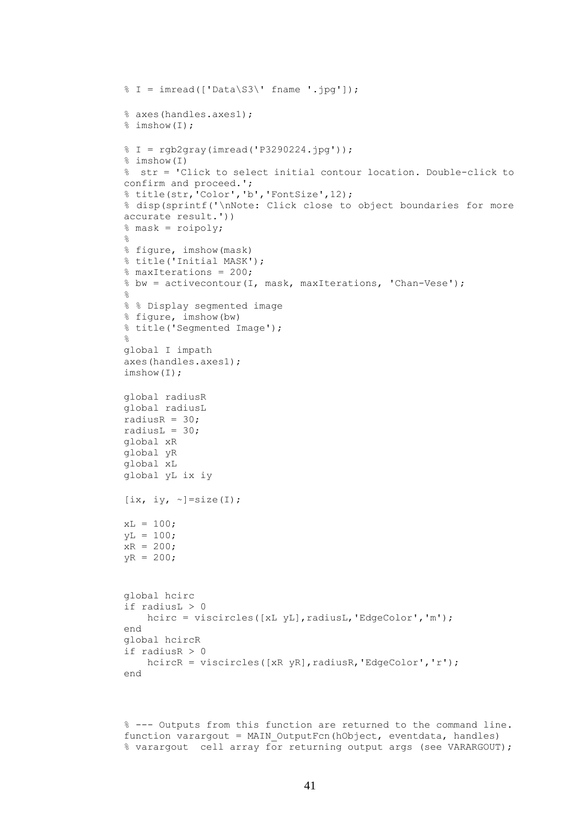```
\frac{1}{6} I = imread(['Data\S3\' fname '.jpg']);
% axes(handles.axes1);
% imshow(I);
\frac{1}{2} I = rgb2gray(imread('P3290224.jpg'));
% imshow(I)
% str = 'Click to select initial contour location. Double-click to 
confirm and proceed.';
% title(str,'Color','b','FontSize',12);
% disp(sprintf('\nNote: Click close to object boundaries for more 
accurate result.'))
% mask = roipoly;
\mathsf{S}% figure, imshow(mask)
% title('Initial MASK');
% maxIterations = 200; 
% bw = activecontour(I, mask, maxIterations, 'Chan-Vese');
% 
% % Display segmented image
% figure, imshow(bw)
% title('Segmented Image');
\approxglobal I impath
axes(handles.axes1);
imshow(I);
global radiusR
global radiusL
radiusR = 30;
radiusL = 30;
global xR
global yR
global xL
global yL ix iy
[ix, iy, \sim]=size(I);
xL = 100;vL = 100;xR = 200;vR = 200;
global hcirc
if radiusL > 0
    hcirc = viscircles([xL yL], radiusL, 'EdgeColor', 'm');
end
global hcircR
if radiusR > 0
    hcircR = viscircles([xR yR], radiusR, 'EdgeColor', 'r');
end
```
% --- Outputs from this function are returned to the command line. function varargout = MAIN\_OutputFcn(hObject, eventdata, handles) % varargout cell array for returning output args (see VARARGOUT);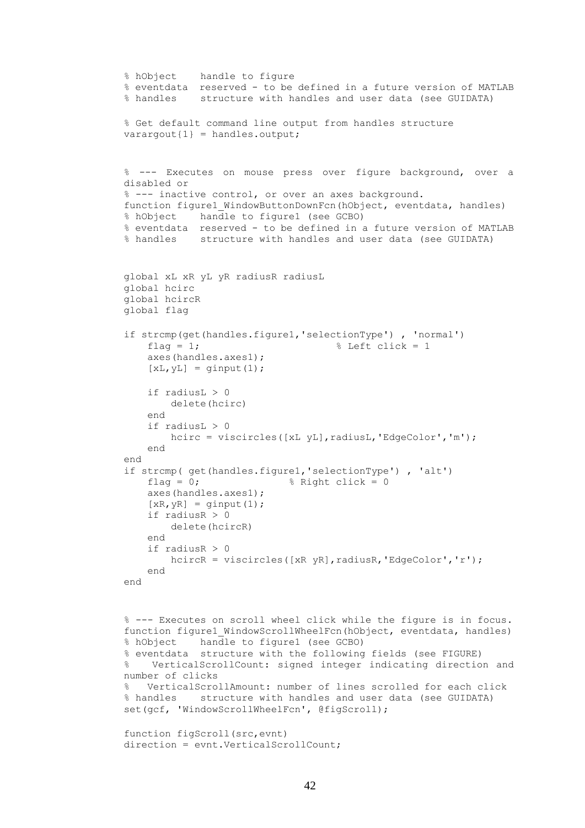```
% hObject handle to figure
% eventdata reserved - to be defined in a future version of MATLAB
% handles structure with handles and user data (see GUIDATA)
% Get default command line output from handles structure
varargout{1} = handles.output;
% --- Executes on mouse press over figure background, over a 
disabled or
% --- inactive control, or over an axes background.
function figure1 WindowButtonDownFcn(hObject, eventdata, handles)
% hObject handle to figure1 (see GCBO)
% eventdata reserved - to be defined in a future version of MATLAB
% handles structure with handles and user data (see GUIDATA)
global xL xR yL yR radiusR radiusL 
global hcirc
global hcircR
global flag
if strcmp(get(handles.figure1,'selectionType') , 'normal')
    flag = 1; \qquad \qquad \qquad \qquad \qquad Left click = 1
     axes(handles.axes1);
    [xL, yL] = ginput(1);
     if radiusL > 0
         delete(hcirc)
     end
    if radiusL > 0hcirc = viscircles([xL yL], radiusL, 'EdgeColor', 'm');
     end
end
if strcmp( get(handles.figure1,'selectionType') , 'alt')
    flag = 0; \frac{1}{2} \frac{1}{2} \frac{1}{2} \frac{1}{2} \frac{1}{2} \frac{1}{2} \frac{1}{2} \frac{1}{2} \frac{1}{2} \frac{1}{2} \frac{1}{2} \frac{1}{2} \frac{1}{2} \frac{1}{2} \frac{1}{2} \frac{1}{2} \frac{1}{2} \frac{1}{2} \frac{1}{2} \frac{1}{2} \frac{1}{2} axes(handles.axes1);
    [XR, yR] = ginput (1);if radiusR > 0 delete(hcircR)
     end
    if radiusR > 0hcircR = viscircles([XR yR], radiusR, 'EdgeColor', 'r');
     end
end
% --- Executes on scroll wheel click while the figure is in focus.
function figure1 WindowScrollWheelFcn(hObject, eventdata, handles)
% hObject handle to figure1 (see GCBO)
% eventdata structure with the following fields (see FIGURE)
% VerticalScrollCount: signed integer indicating direction and 
number of clicks
% VerticalScrollAmount: number of lines scrolled for each click
% handles structure with handles and user data (see GUIDATA)
set(gcf, 'WindowScrollWheelFcn', @figScroll);
function figScroll(src,evnt)
direction = evnt. VerticalScrollCount;
```

```
42
```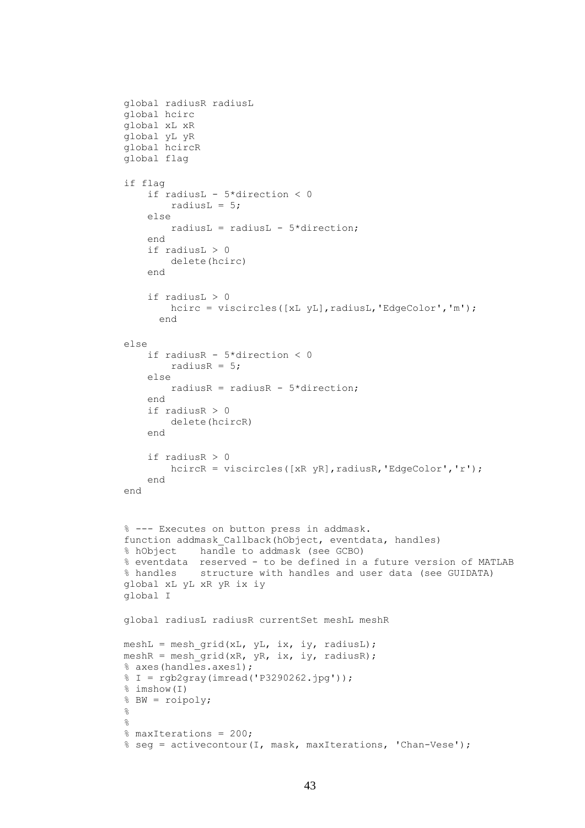```
global radiusR radiusL
global hcirc
global xL xR
global yL yR
global hcircR
global flag
if flag
     if radiusL - 5*direction < 0
        radiusL = 5;
     else
        radiusL = radiusL - 5 *direction;
     end
     if radiusL > 0
         delete(hcirc)
     end
     if radiusL > 0
        hcirc = viscircles([xL yL], radiusL, 'EdgeColor', 'm');
       end
else
     if radiusR - 5*direction < 0
        radiusR = 5;
     else
         radiusR = radiusR - 5*direction;
     end
    if radiusR > 0 delete(hcircR)
     end
     if radiusR > 0
        hcircR = viscircles([xR yR], radiusR, 'EdgeColor', 'r');
     end
end
% --- Executes on button press in addmask.
function addmask Callback(hObject, eventdata, handles)
% hObject handle to addmask (see GCBO)
% eventdata reserved - to be defined in a future version of MATLAB
% handles structure with handles and user data (see GUIDATA)
global xL yL xR yR ix iy 
global I
global radiusL radiusR currentSet meshL meshR
meshL = mesh grid(xL, yL, ix, iy, radiusL);meshR = mesh grid(xR, yR, ix, iy, radiusR);
% axes(handles.axes1);
% I = rgb2gray(imread('P3290262.jpg'));
% imshow(I)
% BW = roipoly;
\mathbf{Q}% 
% maxIterations = 200; 
% seg = activecontour(I, mask, maxIterations, 'Chan-Vese');
```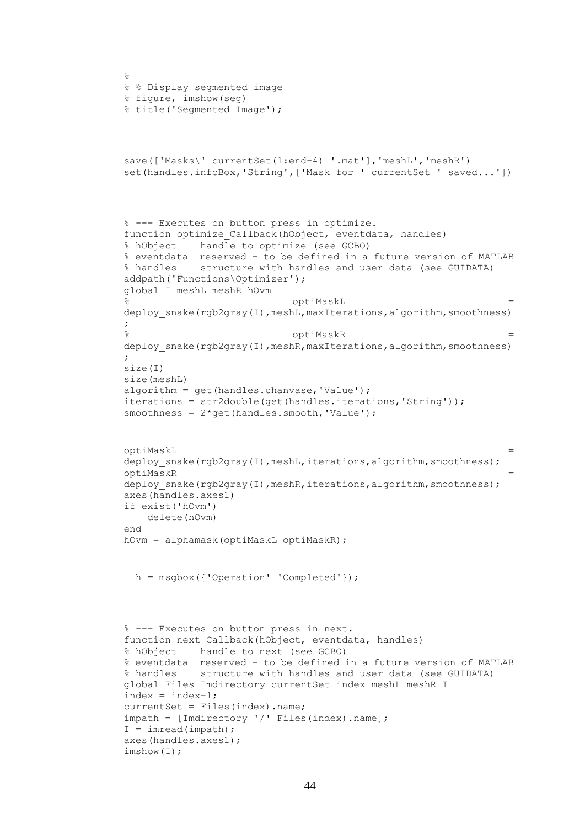```
\circ% % Display segmented image
% figure, imshow(seg)
% title('Segmented Image');
save(['Masks\' currentSet(1:end-4) '.mat'],'meshL','meshR')
set(handles.infoBox,'String',['Mask for ' currentSet ' saved...'])
% --- Executes on button press in optimize.
function optimize Callback(hObject, eventdata, handles)
% hObject handle to optimize (see GCBO)
% eventdata reserved - to be defined in a future version of MATLAB
% handles structure with handles and user data (see GUIDATA)
addpath('Functions\Optimizer');
global I meshL meshR hOvm
                             optiMaskL
deploy snake(rgb2gray(I),meshL,maxIterations,algorithm,smoothness)
;
                             % optiMaskR = 
deploy snake(rgb2gray(I),meshR,maxIterations,algorithm,smoothness)
;
size(I)
size(meshL)
algorithm = get(handles.chanvase,'Value');
iterations = str2double(get(handles.iterations,'String'));
smoothness = 2*qet(handles.smooth, 'Value');optiMaskL = 
deploy snake(rgb2gray(I),meshL,iterations,algorithm,smoothness);
optiMaskR = 
deploy snake(rgb2gray(I),meshR,iterations,algorithm,smoothness);
axes(handles.axes1)
if exist('hOvm')
    delete(hOvm)
end
hOvm = alphamask(optiMaskL|optiMaskR);
  h = msgbox({'Operation' 'Completed'});
% --- Executes on button press in next.
function next Callback(hObject, eventdata, handles)
% hObject handle to next (see GCBO)
% eventdata reserved - to be defined in a future version of MATLAB
% handles structure with handles and user data (see GUIDATA)
global Files Imdirectory currentSet index meshL meshR I
index = index + 1;
currentSet = Files(index).name;
impath = [Imdirectory '/' Files(index).name];
I = \text{imread}( \text{impath});
axes(handles.axes1);
imshow(I);
```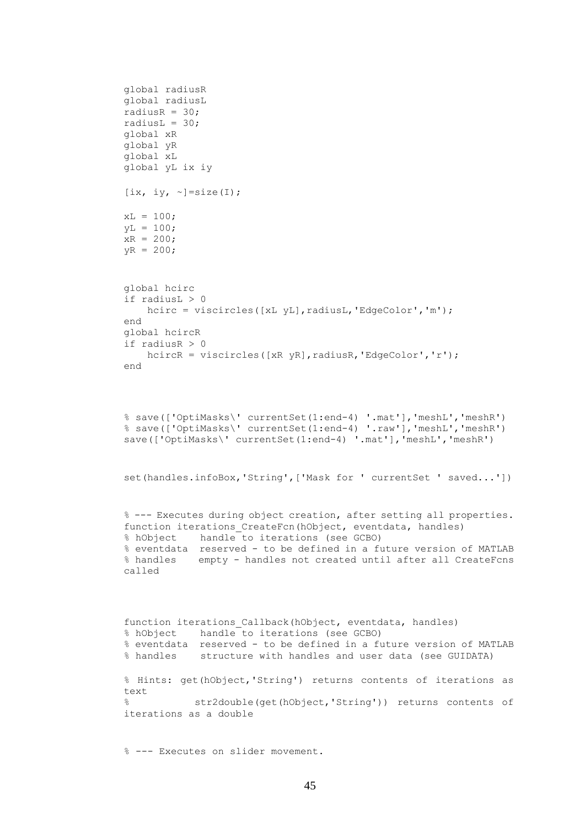```
global radiusR
global radiusL
radiusR = 30;
radiusL = 30;global xR
global yR
global xL
global yL ix iy
[ix, iy, \sim]=size(I);
xL = 100;yL = 100;xR = 200;yR = 200;
global hcirc
if radiusL > 0
   hcirc = viscircles([xL yL], radiusL, 'EdgeColor', 'm');
end
global hcircR
if radiusR > 0
   hcircR = viscircles([xR yR], radiusR, 'EdgeColor', 'r');
end
% save(['OptiMasks\' currentSet(1:end-4) '.mat'],'meshL','meshR')
% save(['OptiMasks\' currentSet(1:end-4) '.raw'],'meshL','meshR')
save(['OptiMasks\' currentSet(1:end-4) '.mat'],'meshL','meshR')
set(handles.infoBox,'String', ['Mask for ' currentSet ' saved...'])
% --- Executes during object creation, after setting all properties.
function iterations CreateFcn(hObject, eventdata, handles)
% hObject handle to iterations (see GCBO)
% eventdata reserved - to be defined in a future version of MATLAB
% handles empty - handles not created until after all CreateFcns 
called
function iterations Callback(hObject, eventdata, handles)
% hObject handle to iterations (see GCBO)
% eventdata reserved - to be defined in a future version of MATLAB
% handles structure with handles and user data (see GUIDATA)
% Hints: get(hObject,'String') returns contents of iterations as 
text
% str2double(get(hObject,'String')) returns contents of 
iterations as a double
```

```
45
```
% --- Executes on slider movement.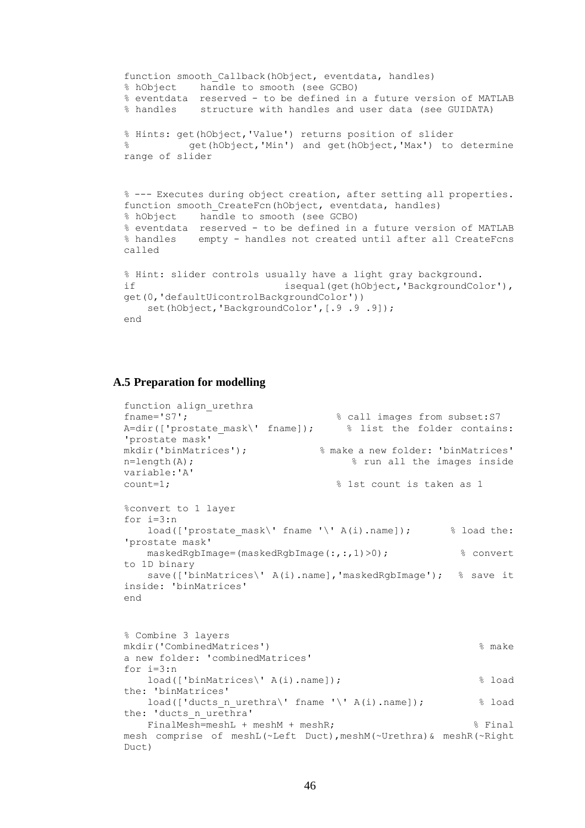```
function smooth Callback(hObject, eventdata, handles)
% hObject handle to smooth (see GCBO)
% eventdata reserved - to be defined in a future version of MATLAB
% handles structure with handles and user data (see GUIDATA)
% Hints: get(hObject,'Value') returns position of slider
% get(hObject,'Min') and get(hObject,'Max') to determine 
range of slider
% --- Executes during object creation, after setting all properties.
function smooth_CreateFcn(hObject, eventdata, handles)
% hObject handle to smooth (see GCBO)
% eventdata reserved - to be defined in a future version of MATLAB
% handles empty - handles not created until after all CreateFcns 
called
% Hint: slider controls usually have a light gray background.
if isequal(get(hObject,'BackgroundColor'),
get(0,'defaultUicontrolBackgroundColor'))
  set(hObject,'BackgroundColor', [.9.9.9]);
end
```
## **A.5 Preparation for modelling**

```
function align_urethra
fname='S7'; \text{Range} and \text{triangle} sall images from subset: S7
A=dir(['prostate mask\' fname]); % list the folder contains:
'prostate mask'
mkdir('binMatrices'); % make a new folder: 'binMatrices'
n=length(A); \frac{1}{2} and \frac{1}{2} run all the images inside
variable:'A'
count=1; \qquad \qquad \qquad 8 1st count is taken as 1
%convert to 1 layer
for i=3:n
   load(['prostate mask\' fname '\' A(i).name]); \qquad % load the:
'prostate mask'
    maskedRgbImage=(maskedRgbImage(:,:,1)>0); % convert 
to 1D binary
   save(['binMatrices\' A(i).name], 'maskedRgbImage'); % save it
inside: 'binMatrices'
end
% Combine 3 layers
mkdir('CombinedMatrices') % make 
a new folder: 'combinedMatrices'
for i=3:n load(['binMatrices\' A(i).name]); % load 
the: 'binMatrices'
   load(['ducts n urethra\' fname '\' A(i).name]); \frac{1}{8} load
the: 'ducts n urethra'
   FinalMesh=meshL + meshM + meshR;    $Final
mesh comprise of meshL(~Left Duct),meshM(~Urethra)& meshR(~Right 
Duct)
```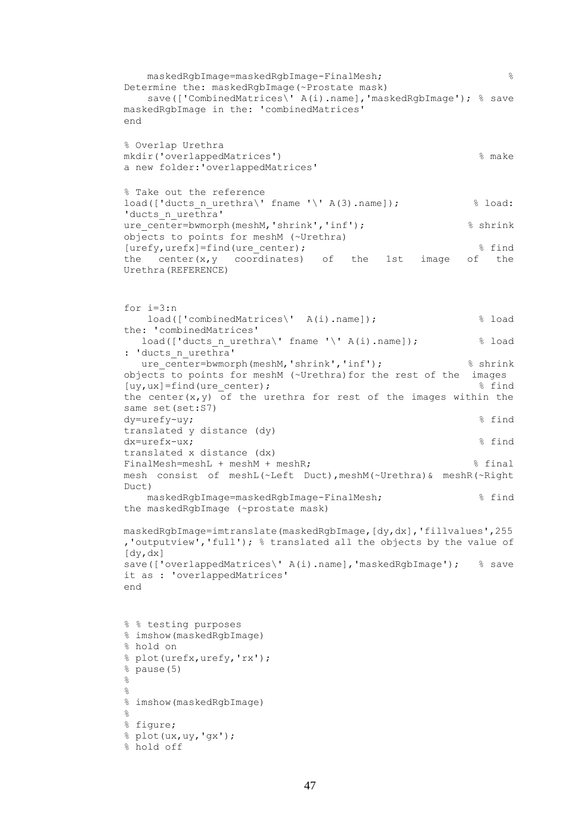```
 maskedRgbImage=maskedRgbImage-FinalMesh; % 
Determine the: maskedRgbImage(~Prostate mask)
    save(['CombinedMatrices\' A(i).name],'maskedRgbImage'); % save 
maskedRgbImage in the: 'combinedMatrices'
end
% Overlap Urethra
mkdir('overlappedMatrices') % make 
a new folder:'overlappedMatrices'
% Take out the reference
load(['ducts n urethra\' fname '\' A(3).name]); \qquad \qquad \& load:
'ducts n urethra'
ure center=bwmorph(meshM,'shrink','inf'); % shrink
objects to points for meshM (~Urethra)
[urefy, urefx]=find(ure center); \frac{1}{3} and \frac{1}{3} find
the center(x, y coordinates) of the 1st image of the
Urethra(REFERENCE) 
for i=3:n
    load(['combinedMatrices\' A(i).name]); % load 
the: 'combinedMatrices'
  load(['ducts_n_urethra\' fname '\' A(i).name]); \frac{1}{8} load
: 'ducts n urethra'
  ure center=bwmorph(meshM,'shrink','inf'); % shrink
objects to points for meshM (~Urethra)for the rest of the images
[uy,ux]=find(ure_center); % find 
the center(x, y) of the urethra for rest of the images within the
same set(set:S7)
dy=urefy-uy; \frac{1}{2} find
translated y distance (dy)
dx=urefx-ux; % find 
translated x distance (dx)
FinalMesh=meshL + meshM + meshR: \frac{1}{2} final
mesh consist of meshL(~Left Duct),meshM(~Urethra)& meshR(~Right 
Duct) 
    maskedRgbImage=maskedRgbImage-FinalMesh; % find 
the maskedRgbImage (~prostate mask)
maskedRgbImage=imtranslate(maskedRgbImage,[dy,dx],'fillvalues',255
,'outputview','full'); % translated all the objects by the value of 
[dy,dx]
save(['overlappedMatrices\' A(i).name],'maskedRgbImage'); % save 
it as : 'overlappedMatrices'
end
% % testing purposes
% imshow(maskedRgbImage)
% hold on
% plot(urefx,urefy,'rx');
% pause(5)
% 
% 
% imshow(maskedRgbImage)
\mathfrak{D}% figure;
% plot(ux,uy,'gx');
% hold off
```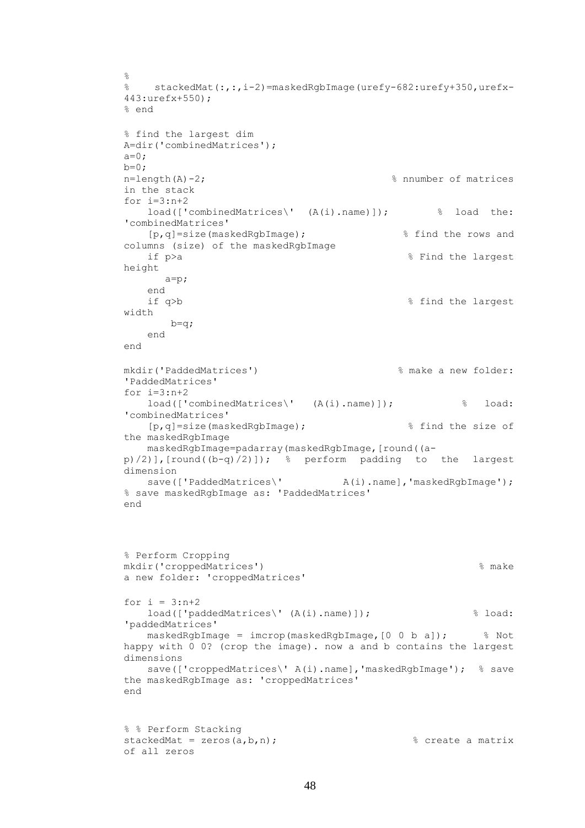```
\circ% stackedMat(:,:,i-2)=maskedRgbImage(urefy-682:urefy+350,urefx-
443:urefx+550);
% end
% find the largest dim
A=dir('combinedMatrices');
a=0;b=0;
n=length(A)-2; \frac{1}{2} m=length(A)-2;
in the stack
for i=3:n+2 load(['combinedMatrices\' (A(i).name)]); % load the: 
'combinedMatrices'
    [p,q]=size(maskedRgbImage); % find the rows and 
columns (size) of the maskedRgbImage
   if p>a % Find the largest
height
      a=p;
    end
   if q>b \frac{1}{2} s and the largest
width
      b=q;
   end
end
mkdir('PaddedMatrices') % make a new folder: 
'PaddedMatrices'
for i=3:n+2 load(['combinedMatrices\' (A(i).name)]); % load: 
'combinedMatrices'
    [p,q]=size(maskedRgbImage); % find the size of 
the maskedRgbImage
    maskedRgbImage=padarray(maskedRgbImage,[round((a-
p(2)], [round((b-q)(2)]); % perform padding to the largest
dimension
   save(['PaddedMatrices\' A(i).name],'maskedRqbImaqe');
% save maskedRgbImage as: 'PaddedMatrices'
end
% Perform Cropping
mkdir('croppedMatrices') % make 
a new folder: 'croppedMatrices'
```

```
for i = 3:n+2 load(['paddedMatrices\' (A(i).name)]); % load: 
'paddedMatrices'
    maskedRgbImage = imcrop(maskedRgbImage,[0 0 b a]); % Not 
happy with 0 0? (crop the image). now a and b contains the largest 
dimensions 
    save(['croppedMatrices\' A(i).name],'maskedRgbImage'); % save 
the maskedRgbImage as: 'croppedMatrices'
end
```
% % Perform Stacking stackedMat =  $zeros(a,b,n);$ <br>  $% create a matrix$ of all zeros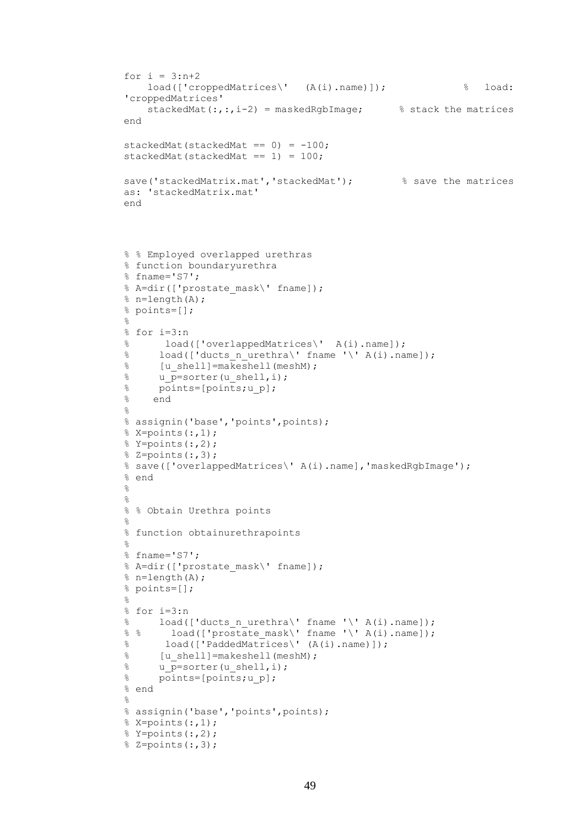```
for i = 3:n+2 load(['croppedMatrices\' (A(i).name)]); % load: 
'croppedMatrices'
    stackedMat(:,:,i-2) = maskedRgbImage; % stack the matrices
end
stackedMat(stackedMat == 0) = -100;
stackedMat(stackedMat == 1) = 100;
save('stackedMatrix.mat','stackedMat'); % save the matrices
as: 'stackedMatrix.mat'
end
% % Employed overlapped urethras
% function boundaryurethra
% fname='S7';
% A=dir(['prostate_mask\' fname]);
% n=length(A);
% points=[];
\approx% for i=3:n
% load(['overlappedMatrices\' A(i).name]);
% load(['ducts_n urethra\' fname '\' A(i).name]);
\% [u_shell]=makeshell(meshM);
\frac{1}{8} u \bar{p}=sorter(u shell,i);
% points=[points;u_p];
% end
\approx% assignin('base','points',points);
% \times =points(:,1);\text{\%} Y=points(:,2);
\frac{1}{6} Z=points(:,3);
% save(['overlappedMatrices\' A(i).name],'maskedRgbImage');
% end
% 
% 
% % Obtain Urethra points
% 
% function obtainurethrapoints
% 
% fname='S7';
% A=dir(['prostate mask\' fname]);
% n=length(A);
% points=[];
% 
% for i=3:n
% load(['ducts n urethra\' fname '\' A(i).name]);
% % load(['prostate_mask\' fname '\' A(i).name]);
% load(['PaddedMatrices\' (A(i).name)]);
% [u_shell]=makeshell(meshM);
\frac{1}{8} u p=sorter(u shell, i);
% points=[points;u_p];
% end
\frac{6}{5}% assignin('base','points',points);
% X=points(:,1);
\text{\%} Y=points(:,2);
% Z=points(:,3);
```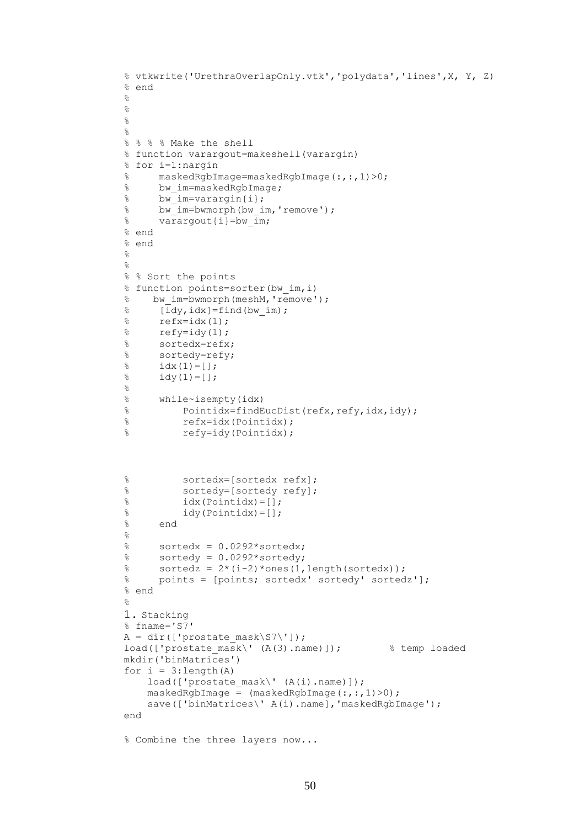```
% vtkwrite('UrethraOverlapOnly.vtk','polydata','lines',X, Y, Z)
% end
\frac{1}{2}\approx\frac{6}{6}\mathsf{R}% % % % Make the shell
% function varargout=makeshell(varargin)
% for i=1:nargin
% maskedRgbImage=maskedRgbImage(:,:,1)>0;
% bw_im=maskedRgbImage;
% bw im=varargin{i};
% bw_im=bwmorph(bw_im,'remove');
\frac{1}{8} varargout {i}=bw im;
% end
% end
% 
% 
% % Sort the points
% function points=sorter(bw_im,i)
% bw_im=bwmorph(meshM,'remove');
\{\bar{idy}, \text{idx}\} = \text{find}(bwim);\text{refx}=idx(1);% refy=idy(1);<br>% sortedx=refx
% sortedx=refx;<br>% sortedy=refy;
     sortedy=refy;
\frac{1}{6} idx(1)=[];
\frac{1}{6} idy(1)=[];
\frac{6}{5}% while~isempty(idx)
% Pointidx=findEucDist(refx,refy,idx,idy);
% refx=idx(Pointidx);
% refy=idy(Pointidx);
% sortedx=[sortedx refx];
% sortedy=[sortedy refy];
\% idx(Pointidx)=[];
\% idy(Pointidx)=[];
% end
\frac{6}{6}% sortedx = 0.0292*sortedx;
% sortedy = 0.0292*sortedy;
\text{sortedz} = 2*(i-2)*ones(1, length(sortedx));% points = [points; sortedx' sortedy' sortedz'];
% end
\frac{6}{5}1. Stacking
% fname='S7'
A = dir([ 'prostate mask\S7\'']);
load(['prostate mask\' (A(3) .name)]); % temp loaded
mkdir('binMatrices')
for i = 3: length (A)
    load(['prostate mask\' (A(i).name)]);
    masskedRqbImage = (maskedRqbImage(i, :, 1) > 0);save(['binMatrices\' A(i).name], 'maskedRgbImage');
end
% Combine the three layers now...
```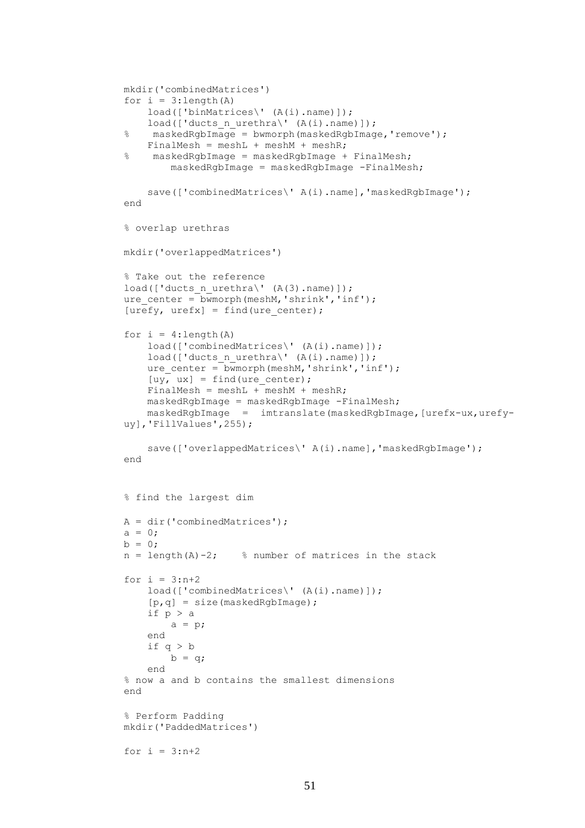```
mkdir('combinedMatrices')
for i = 3: length (A)
    load(['binMatrices\' (A(i).name)]);
    load(['ducts n urethra\' (A(i).name)]);
% maskedRgbImage = bwmorph(maskedRgbImage,'remove');
   FinalMesh = meshL + meshM + meshR;
% maskedRgbImage = maskedRgbImage + FinalMesh;
         maskedRgbImage = maskedRgbImage -FinalMesh;
    save(['combinedMatrices\' A(i).name], 'maskedRgbImage');
end
% overlap urethras
mkdir('overlappedMatrices')
% Take out the reference
load(['ducts n urethra\' (A(3).name)]);
ure center = bwmorph(meshM, 'shrink', 'inf');
[urefy, urefx] = find(ure center);
for i = 4: length (A)
    load(['combinedMatrices\' (A(i).name)]);
    load(['ducts n urethra\' (A(i).name));
    ure center = bwmorph(meshM, 'shrink', 'inf');
    [uy, ux] = find(ure center);
    FinalMesh = meshL + meshM + meshR;
     maskedRgbImage = maskedRgbImage -FinalMesh;
    maskedRgbImage = imtranslate(maskedRgbImage, [urefx-ux, urefy-
uy],'FillValues',255);
    save(['overlappedMatrices\' A(i).name], 'maskedRgbImage');
end
% find the largest dim
A = dir('combinedMatrices');a = 0;b = 0;n = length(A) - 2; % number of matrices in the stack
for i = 3:n+2load(['combinedMatrices\' (A(i).name)]);
     [p,q] = size(maskedRgbImage);
     if p > a
        a = p; end
     if q > b
        b = q; end
% now a and b contains the smallest dimensions 
end
% Perform Padding
mkdir('PaddedMatrices')
for i = 3:n+2
```